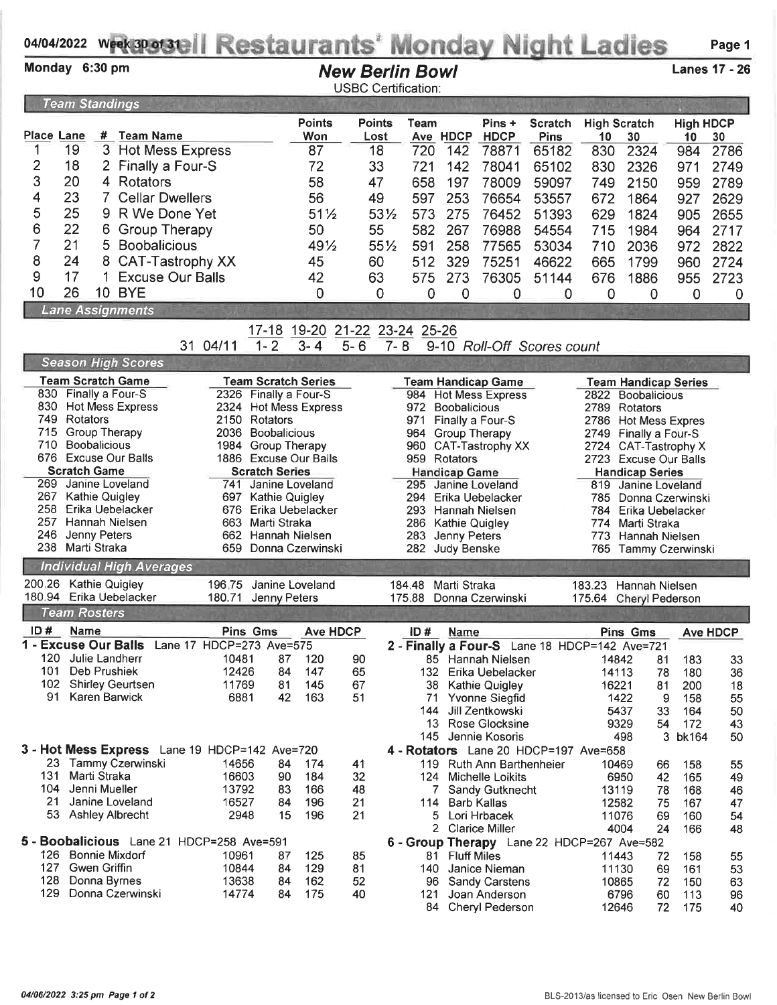## 04/04/2022 wrekapagell Restaurants' Monday Night Ladies Page 1

| Monday 6:30 pm       |                                                                |               |                                               |                                                |                                                  |                            |               | <b>New Berlin Bowl</b><br><b>USBC Certification:</b> |                |                                 |                                                   |                                               |                |                                               |                  | <b>Lanes 17 - 26</b> |
|----------------------|----------------------------------------------------------------|---------------|-----------------------------------------------|------------------------------------------------|--------------------------------------------------|----------------------------|---------------|------------------------------------------------------|----------------|---------------------------------|---------------------------------------------------|-----------------------------------------------|----------------|-----------------------------------------------|------------------|----------------------|
|                      | <b>Team Standings</b>                                          |               |                                               |                                                |                                                  |                            |               |                                                      |                |                                 |                                                   |                                               |                |                                               |                  |                      |
|                      |                                                                |               |                                               |                                                |                                                  | <b>Points</b>              | <b>Points</b> | Team                                                 |                |                                 | Pins +                                            | <b>Scratch</b>                                |                | <b>High Scratch</b>                           | <b>High HDCP</b> |                      |
| Place Lane           |                                                                |               | # Team Name                                   |                                                |                                                  | Won                        | Lost          |                                                      |                | Ave HDCP                        | <b>HDCP</b>                                       | Pins                                          | 10             | 30                                            | 10               | 30                   |
| 1                    | 19                                                             | 3             | <b>Hot Mess Express</b>                       |                                                |                                                  | 87                         | 18            |                                                      | 720            | 142                             | 78871                                             | 65182                                         | 830            | 2324                                          | 984              | 2786                 |
| $\overline{c}$       | 18                                                             | 2             | Finally a Four-S                              |                                                |                                                  | 72                         | 33            | 721                                                  |                | 142                             | 78041                                             | 65102                                         | 830            | 2326                                          | 971              | 2749                 |
| 3                    | 20                                                             | 4             | Rotators                                      |                                                |                                                  | 58                         | 47            |                                                      | 658            | 197                             | 78009                                             | 59097                                         | 749            | 2150                                          | 959              | 2789                 |
| 4                    | 23                                                             | 7             | <b>Cellar Dwellers</b>                        |                                                |                                                  | 56                         | 49            |                                                      | 597            | 253                             | 76654                                             | 53557                                         | 672            | 1864                                          | 927              | 2629                 |
| 5                    | 25                                                             | 9             | R We Done Yet                                 |                                                |                                                  | $51\frac{1}{2}$            |               | 531/2                                                | 573            | 275                             | 76452                                             | 51393                                         | 629            | 1824                                          | 905              | 2655                 |
| 6                    | 22                                                             | 6             | <b>Group Therapy</b>                          |                                                |                                                  | 50                         | 55            |                                                      | 582            | 267                             | 76988                                             | 54554                                         | 715            | 1984                                          | 964              | 2717                 |
| 7                    | 21                                                             | 5             | <b>Boobalicious</b>                           |                                                |                                                  | 491/2                      |               | 551/2                                                | 591            | 258                             | 77565                                             | 53034                                         | 710            | 2036                                          | 972              | 2822                 |
| 8                    | 24                                                             | 8             | CAT-Tastrophy XX                              |                                                |                                                  | 45                         | 60            |                                                      | 512            | 329                             | 75251                                             | 46622                                         | 665            | 1799                                          | 960              | 2724                 |
| 9                    | 17                                                             |               | <b>Excuse Our Balls</b>                       |                                                |                                                  | 42                         | 63            |                                                      | 575            | 273                             | 76305                                             | 51144                                         | 676            | 1886                                          | 955              | 2723                 |
| 10                   | 26                                                             |               | <b>10 BYE</b>                                 |                                                |                                                  | 0                          |               | 0                                                    | 0              | 0                               | 0                                                 | 0                                             | 0              | $\mathbf 0$                                   | $\mathbf 0$      | 0                    |
|                      |                                                                |               | <b>Lane Assignments</b>                       |                                                |                                                  |                            |               |                                                      |                |                                 |                                                   |                                               |                |                                               |                  |                      |
|                      |                                                                |               |                                               |                                                | $17 - 18$                                        |                            |               | 19-20 21-22 23-24 25-26                              |                |                                 |                                                   |                                               |                |                                               |                  |                      |
|                      |                                                                |               |                                               | 31 04/11                                       | $1 - 2$                                          | $3 - 4$                    | $5 - 6$       | $7 - 8$                                              |                |                                 |                                                   | 9-10 Roll-Off Scores count                    |                |                                               |                  |                      |
|                      |                                                                |               | <b>Season High Scores</b>                     |                                                |                                                  |                            |               |                                                      |                |                                 |                                                   |                                               |                |                                               |                  |                      |
|                      |                                                                |               | <b>Team Scratch Game</b>                      |                                                |                                                  | <b>Team Scratch Series</b> |               |                                                      |                |                                 | <b>Team Handicap Game</b>                         |                                               |                | <b>Team Handicap Series</b>                   |                  |                      |
|                      | 830 Finally a Four-S                                           |               | 830 Hot Mess Express                          | 2326 Finally a Four-S<br>2324 Hot Mess Express |                                                  |                            |               | 972                                                  |                | <b>Boobalicious</b>             | 984 Hot Mess Express                              |                                               |                | 2822 Boobalicious<br>2789 Rotators            |                  |                      |
|                      | 749 Rotators                                                   |               |                                               | 2150 Rotators                                  |                                                  |                            |               | 971                                                  |                |                                 | Finally a Four-S                                  |                                               |                | 2786 Hot Mess Expres                          |                  |                      |
| 715                  | <b>Group Therapy</b>                                           |               |                                               | 2036 Boobalicious                              |                                                  |                            |               | 964                                                  |                | Group Therapy                   |                                                   |                                               |                | 2749 Finally a Four-S                         |                  |                      |
| 710 -                | Boobalicious                                                   |               |                                               | 1984 Group Therapy                             |                                                  |                            |               | 960                                                  |                |                                 | CAT-Tastrophy XX                                  |                                               |                | 2724 CAT-Tastrophy X                          |                  |                      |
|                      | <b>Scratch Game</b>                                            |               | 676 Excuse Our Balls                          | 1886 Excuse Our Balls                          |                                                  |                            |               |                                                      |                | 959 Rotators                    |                                                   |                                               |                | 2723 Excuse Our Balls                         |                  |                      |
| 269 -                |                                                                |               |                                               | 741                                            | <b>Scratch Series</b><br>Janine Loveland         |                            |               | 295                                                  |                | <b>Handicap Game</b>            | Janine Loveland                                   |                                               |                | <b>Handicap Series</b><br>819 Janine Loveland |                  |                      |
| 267                  | Janine Loveland<br><b>Kathie Quigley</b><br>697 Kathie Quigley |               |                                               |                                                | 294.<br>Erika Uebelacker<br>785 Donna Czerwinski |                            |               |                                                      |                |                                 |                                                   |                                               |                |                                               |                  |                      |
| 258                  | Erika Uebelacker<br>676 Erika Uebelacker                       |               |                                               |                                                | 293 Hannah Nielsen<br>784 Erika Uebelacker       |                            |               |                                                      |                |                                 |                                                   |                                               |                |                                               |                  |                      |
| 246                  |                                                                |               | 257 Hannah Nielsen                            |                                                | 663 Marti Straka<br>662 Hannah Nielsen           |                            |               | 286                                                  |                | Kathie Quigley                  |                                                   |                                               |                | 774 Marti Straka                              |                  |                      |
|                      | Jenny Peters<br>238 Marti Straka                               |               |                                               |                                                |                                                  | 659 Donna Czerwinski       |               | 283                                                  |                | Jenny Peters<br>282 Judy Benske |                                                   |                                               | 773            | Hannah Nielsen<br>765 Tammy Czerwinski        |                  |                      |
|                      |                                                                |               | <b>Individual High Averages</b>               |                                                |                                                  |                            |               |                                                      |                |                                 |                                                   |                                               |                |                                               |                  |                      |
| 200.26               |                                                                |               | <b>Kathie Quigley</b>                         | 196.75                                         |                                                  | Janine Loveland            |               | 184.48                                               |                | Marti Straka                    |                                                   |                                               |                | 183.23 Hannah Nielsen                         |                  |                      |
| 180.94               |                                                                |               | Erika Uebelacker                              | 180.71                                         | Jenny Peters                                     |                            |               |                                                      |                |                                 | 175.88 Donna Czerwinski                           |                                               |                | 175.64 Cheryl Pederson                        |                  |                      |
|                      | <b>Team Rosters</b>                                            |               |                                               |                                                |                                                  |                            |               |                                                      |                |                                 |                                                   |                                               |                |                                               |                  |                      |
| ID# Name             |                                                                |               |                                               | <b>Pins Gms</b>                                |                                                  | <b>Ave HDCP</b>            |               |                                                      |                | ID# Name                        |                                                   |                                               |                | Pins Gms                                      |                  | <b>Ave HDCP</b>      |
| 1 - Excuse Our Balls |                                                                |               |                                               | Lane 17 HDCP=273 Ave=575                       |                                                  |                            |               |                                                      |                |                                 |                                                   | 2 - Finally a Four-S Lane 18 HDCP=142 Ave=721 |                |                                               |                  |                      |
| 120                  |                                                                |               | Julie Landherr                                | 10481                                          | 87                                               | 120                        | 90            |                                                      |                |                                 | 85 Hannah Nielsen                                 |                                               | 14842          | 81                                            | 183              | 33                   |
| 101                  |                                                                | Deb Prushiek  |                                               | 12426                                          | 84                                               | 147                        | 65            |                                                      |                |                                 | 132 Erika Uebelacker                              |                                               | 14113          | 78                                            | 180              | 36                   |
|                      | 91 Karen Barwick                                               |               | 102 Shirley Geurtsen                          | 11769<br>6881                                  | 81<br>42                                         | 145<br>163                 | 67<br>51      |                                                      | 38<br>71       |                                 | <b>Kathie Quigley</b><br>Yvonne Siegfid           |                                               | 16221          | 81<br>1422                                    | 200<br>9<br>158  | 18<br>55             |
|                      |                                                                |               |                                               |                                                |                                                  |                            |               |                                                      | 144            |                                 | Jill Zentkowski                                   |                                               |                | 5437<br>33                                    | 164              | 50                   |
|                      |                                                                |               |                                               |                                                |                                                  |                            |               |                                                      |                |                                 | 13 Rose Glocksine                                 |                                               |                | 9329<br>54                                    | 172              | 43                   |
|                      |                                                                |               |                                               |                                                |                                                  |                            |               |                                                      |                |                                 | 145 Jennie Kosoris                                |                                               |                | 498                                           | 3<br>bk164       | 50                   |
|                      |                                                                |               | 3 - Hot Mess Express Lane 19 HDCP=142 Ave=720 |                                                |                                                  |                            |               |                                                      |                |                                 |                                                   | 4 - Rotators Lane 20 HDCP=197 Ave=658         |                |                                               |                  |                      |
| 131                  |                                                                | Marti Straka  | 23 Tammy Czerwinski                           | 14656<br>16603                                 | 84<br>90                                         | 174<br>184                 | 41<br>32      |                                                      |                |                                 | 119 Ruth Ann Barthenheier<br>124 Michelle Loikits |                                               | 10469          | 66                                            | 158              | 55                   |
| 104                  |                                                                | Jenni Mueller |                                               | 13792                                          | 83                                               | 166                        | 48            |                                                      |                |                                 | 7 Sandy Gutknecht                                 |                                               | 13119          | 6950<br>42<br>78                              | 165<br>168       | 49<br>46             |
| 21                   |                                                                |               | Janine Loveland                               | 16527                                          | 84                                               | 196                        | 21            |                                                      |                | 114 Barb Kallas                 |                                                   |                                               | 12582          | 75                                            | 167              | 47                   |
|                      |                                                                |               | 53 Ashley Albrecht                            | 2948                                           | 15                                               | 196                        | 21            |                                                      |                |                                 | 5 Lori Hrbacek                                    |                                               | 11076          | 69                                            | 160              | 54                   |
|                      |                                                                |               |                                               |                                                |                                                  |                            |               |                                                      | $\overline{2}$ |                                 | <b>Clarice Miller</b>                             |                                               |                | 4004<br>24                                    | 166              | 48                   |
|                      |                                                                |               | 5 - Boobalicious Lane 21 HDCP=258 Ave=591     |                                                |                                                  |                            |               |                                                      |                |                                 |                                                   | 6 - Group Therapy Lane 22 HDCP=267 Ave=582    |                |                                               |                  |                      |
| 126                  | 127 Gwen Griffin                                               |               | Bonnie Mixdorf                                | 10961<br>10844                                 | 87<br>84                                         | 125<br>129                 | 85<br>81      |                                                      | 140            | 81 Fluff Miles                  | Janice Nieman                                     |                                               | 11443<br>11130 | 72<br>69                                      | 158<br>161       | 55                   |
| 128                  |                                                                | Donna Byrnes  |                                               | 13638                                          | 84                                               | 162                        | 52            |                                                      |                |                                 | 96 Sandy Carstens                                 |                                               | 10865          | 72                                            | 150              | 53<br>63             |
| 129                  |                                                                |               | Donna Czerwinski                              | 14774                                          | 84                                               | 175                        | 40            |                                                      | 121            |                                 | Joan Anderson                                     |                                               |                | 6796<br>60                                    | 113              | 96                   |
|                      |                                                                |               |                                               |                                                |                                                  |                            |               |                                                      |                |                                 | 84 Cheryl Pederson                                |                                               | 12646          | 72                                            | 175              | 40                   |